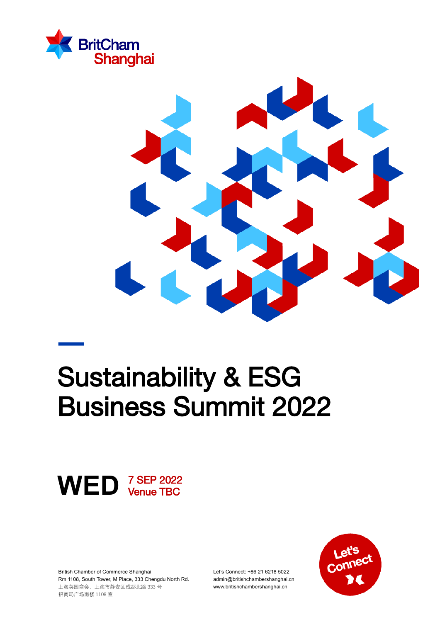



# Sustainability & ESG Business Summit 2022



British Chamber of Commerce Shanghai Rm 1108, South Tower, M Place, 333 Chengdu North Rd. 上海英国商会,上海市静安区成都北路 333 号 招商局广场南楼 1108 室

Let's Connect: +86 21 6218 5022 admin@britishchambershanghai.cn www.britishchambershanghai.cn

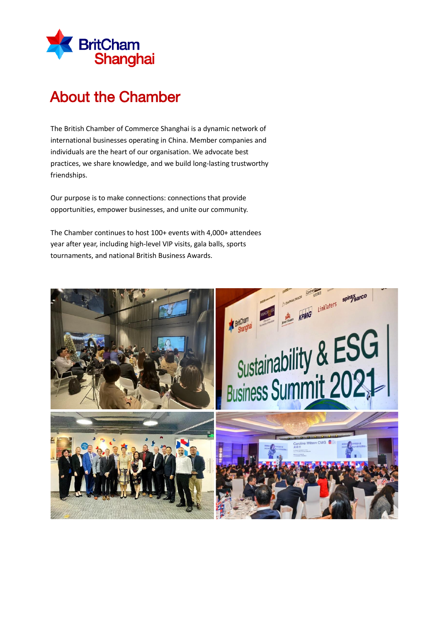

# About the Chamber

The British Chamber of Commerce Shanghai is a dynamic network of international businesses operating in China. Member companies and individuals are the heart of our organisation. We advocate best practices, we share knowledge, and we build long-lasting trustworthy friendships.

Our purpose is to make connections: connections that provide opportunities, empower businesses, and unite our community.

The Chamber continues to host 100+ events with 4,000+ attendees year after year, including high-level VIP visits, gala balls, sports tournaments, and national British Business Awards.

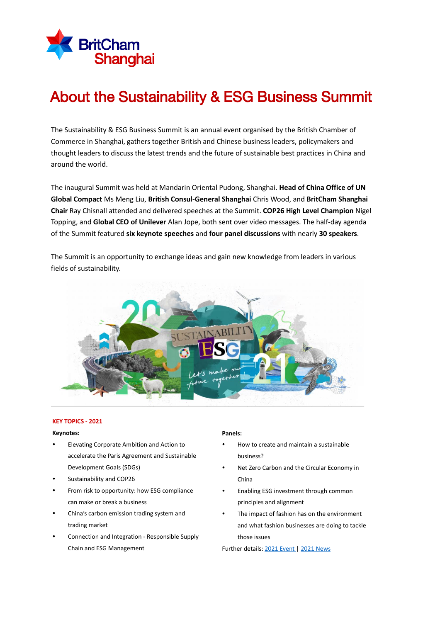

# About the Sustainability & ESG Business Summit

The Sustainability & ESG Business Summit is an annual event organised by the British Chamber of Commerce in Shanghai, gathers together British and Chinese business leaders, policymakers and thought leaders to discuss the latest trends and the future of sustainable best practices in China and around the world.

The inaugural Summit was held at Mandarin Oriental Pudong, Shanghai. **Head of China Office of UN Global Compact** Ms Meng Liu, **British Consul-General Shanghai** Chris Wood, and **BritCham Shanghai Chair** Ray Chisnall attended and delivered speeches at the Summit. **COP26 High Level Champion** Nigel Topping, and **Global CEO of Unilever** Alan Jope, both sent over video messages. The half-day agenda of the Summit featured **six keynote speeches** and **four panel discussions** with nearly **30 speakers**.

The Summit is an opportunity to exchange ideas and gain new knowledge from leaders in various fields of sustainability.



#### **KEY TOPICS - 2021**

#### **Keynotes:**

- Elevating Corporate Ambition and Action to accelerate the Paris Agreement and Sustainable Development Goals (SDGs)
- Sustainability and COP26
- From risk to opportunity: how ESG compliance can make or break a business
- China's carbon emission trading system and trading market
- Connection and Integration Responsible Supply Chain and ESG Management

#### **Panels:**

- How to create and maintain a sustainable business?
- Net Zero Carbon and the Circular Economy in China
- Enabling ESG investment through common principles and alignment
- The impact of fashion has on the environment and what fashion businesses are doing to tackle those issues

Further details[: 2021 Event |](https://www.britishchambershanghai.cn/events/britcham-shanghai-sustainability-summit) [2021 News](https://www.britishchambershanghai.cn/news/britcham-shanghai-hosts-sustainability-esg-summit)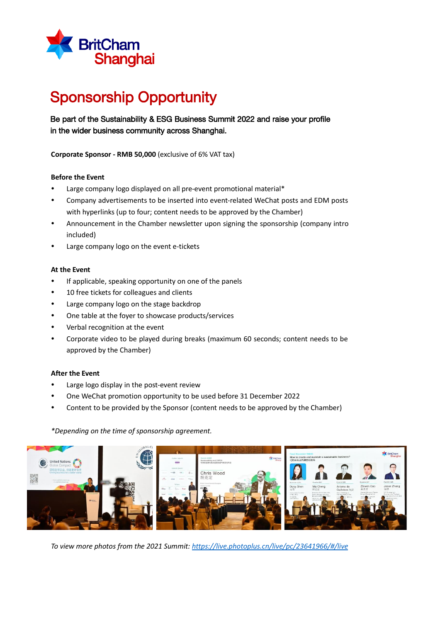

# Sponsorship Opportunity

### Be part of the Sustainability & ESG Business Summit 2022 and raise your profile in the wider business community across Shanghai.

**Corporate Sponsor - RMB 50,000** (exclusive of 6% VAT tax)

#### **Before the Event**

- Large company logo displayed on all pre-event promotional material\*
- Company advertisements to be inserted into event-related WeChat posts and EDM posts with hyperlinks (up to four; content needs to be approved by the Chamber)
- Announcement in the Chamber newsletter upon signing the sponsorship (company intro included)
- Large company logo on the event e-tickets

#### **At the Event**

- If applicable, speaking opportunity on one of the panels
- 10 free tickets for colleagues and clients
- Large company logo on the stage backdrop
- One table at the foyer to showcase products/services
- Verbal recognition at the event
- Corporate video to be played during breaks (maximum 60 seconds; content needs to be approved by the Chamber)

#### **After the Event**

- Large logo display in the post-event review
- One WeChat promotion opportunity to be used before 31 December 2022
- Content to be provided by the Sponsor (content needs to be approved by the Chamber)

*\*Depending on the time of sponsorship agreement.*



*To view more photos from the 2021 Summit[: https://live.photoplus.cn/live/pc/23641966/#/live](https://live.photoplus.cn/live/pc/23641966/#/live)*